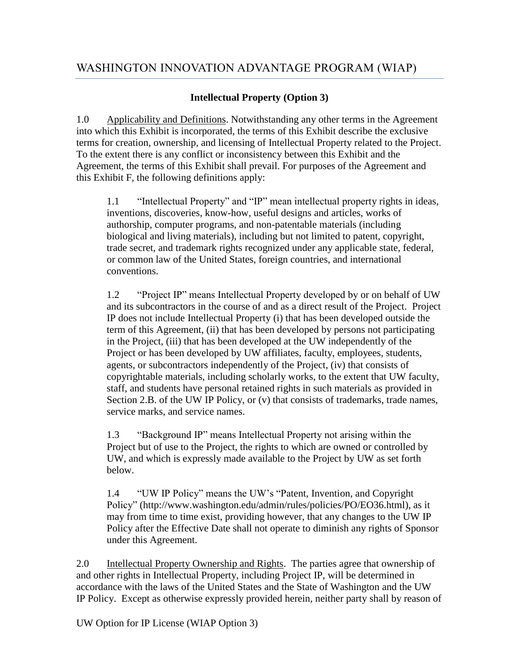## **Intellectual Property (Option 3)**

1.0 Applicability and Definitions. Notwithstanding any other terms in the Agreement into which this Exhibit is incorporated, the terms of this Exhibit describe the exclusive terms for creation, ownership, and licensing of Intellectual Property related to the Project. To the extent there is any conflict or inconsistency between this Exhibit and the Agreement, the terms of this Exhibit shall prevail. For purposes of the Agreement and this Exhibit F, the following definitions apply:

1.1 "Intellectual Property" and "IP" mean intellectual property rights in ideas, inventions, discoveries, know-how, useful designs and articles, works of authorship, computer programs, and non-patentable materials (including biological and living materials), including but not limited to patent, copyright, trade secret, and trademark rights recognized under any applicable state, federal, or common law of the United States, foreign countries, and international conventions.

1.2 "Project IP" means Intellectual Property developed by or on behalf of UW and its subcontractors in the course of and as a direct result of the Project. Project IP does not include Intellectual Property (i) that has been developed outside the term of this Agreement, (ii) that has been developed by persons not participating in the Project, (iii) that has been developed at the UW independently of the Project or has been developed by UW affiliates, faculty, employees, students, agents, or subcontractors independently of the Project, (iv) that consists of copyrightable materials, including scholarly works, to the extent that UW faculty, staff, and students have personal retained rights in such materials as provided in Section 2.B. of the UW IP Policy, or (v) that consists of trademarks, trade names, service marks, and service names.

1.3 "Background IP" means Intellectual Property not arising within the Project but of use to the Project, the rights to which are owned or controlled by UW, and which is expressly made available to the Project by UW as set forth below.

1.4 "UW IP Policy" means the UW's "Patent, Invention, and Copyright Policy" (http://www.washington.edu/admin/rules/policies/PO/EO36.html), as it may from time to time exist, providing however, that any changes to the UW IP Policy after the Effective Date shall not operate to diminish any rights of Sponsor under this Agreement.

2.0 Intellectual Property Ownership and Rights. The parties agree that ownership of and other rights in Intellectual Property, including Project IP, will be determined in accordance with the laws of the United States and the State of Washington and the UW IP Policy. Except as otherwise expressly provided herein, neither party shall by reason of

UW Option for IP License (WIAP Option 3)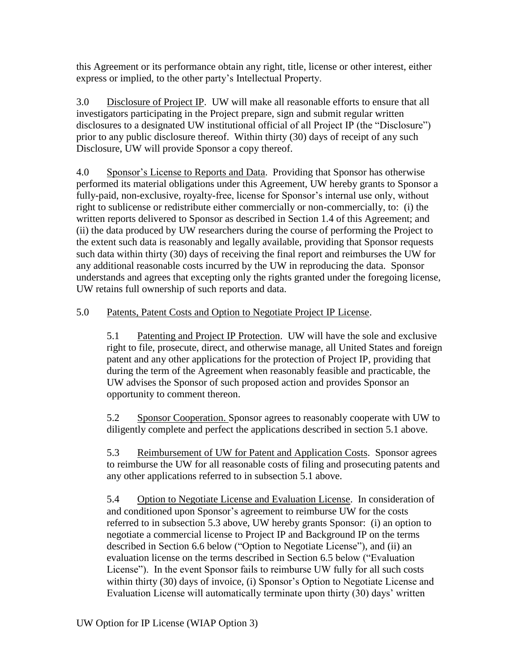this Agreement or its performance obtain any right, title, license or other interest, either express or implied, to the other party's Intellectual Property.

3.0 Disclosure of Project IP. UW will make all reasonable efforts to ensure that all investigators participating in the Project prepare, sign and submit regular written disclosures to a designated UW institutional official of all Project IP (the "Disclosure") prior to any public disclosure thereof. Within thirty (30) days of receipt of any such Disclosure, UW will provide Sponsor a copy thereof.

4.0 Sponsor's License to Reports and Data. Providing that Sponsor has otherwise performed its material obligations under this Agreement, UW hereby grants to Sponsor a fully-paid, non-exclusive, royalty-free, license for Sponsor's internal use only, without right to sublicense or redistribute either commercially or non-commercially, to: (i) the written reports delivered to Sponsor as described in Section 1.4 of this Agreement; and (ii) the data produced by UW researchers during the course of performing the Project to the extent such data is reasonably and legally available, providing that Sponsor requests such data within thirty (30) days of receiving the final report and reimburses the UW for any additional reasonable costs incurred by the UW in reproducing the data. Sponsor understands and agrees that excepting only the rights granted under the foregoing license, UW retains full ownership of such reports and data.

## 5.0 Patents, Patent Costs and Option to Negotiate Project IP License.

5.1 Patenting and Project IP Protection. UW will have the sole and exclusive right to file, prosecute, direct, and otherwise manage, all United States and foreign patent and any other applications for the protection of Project IP, providing that during the term of the Agreement when reasonably feasible and practicable, the UW advises the Sponsor of such proposed action and provides Sponsor an opportunity to comment thereon.

5.2 Sponsor Cooperation. Sponsor agrees to reasonably cooperate with UW to diligently complete and perfect the applications described in section 5.1 above.

5.3 Reimbursement of UW for Patent and Application Costs. Sponsor agrees to reimburse the UW for all reasonable costs of filing and prosecuting patents and any other applications referred to in subsection 5.1 above.

5.4 Option to Negotiate License and Evaluation License. In consideration of and conditioned upon Sponsor's agreement to reimburse UW for the costs referred to in subsection 5.3 above, UW hereby grants Sponsor: (i) an option to negotiate a commercial license to Project IP and Background IP on the terms described in Section 6.6 below ("Option to Negotiate License"), and (ii) an evaluation license on the terms described in Section 6.5 below ("Evaluation License"). In the event Sponsor fails to reimburse UW fully for all such costs within thirty (30) days of invoice, (i) Sponsor's Option to Negotiate License and Evaluation License will automatically terminate upon thirty (30) days' written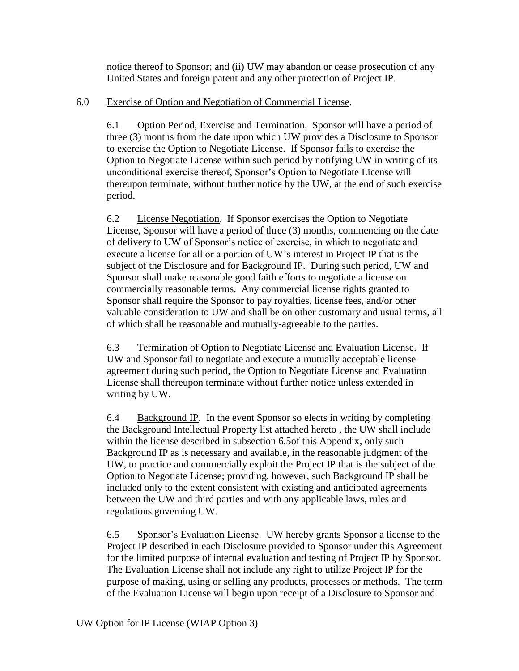notice thereof to Sponsor; and (ii) UW may abandon or cease prosecution of any United States and foreign patent and any other protection of Project IP.

## 6.0 Exercise of Option and Negotiation of Commercial License.

6.1 Option Period, Exercise and Termination. Sponsor will have a period of three (3) months from the date upon which UW provides a Disclosure to Sponsor to exercise the Option to Negotiate License. If Sponsor fails to exercise the Option to Negotiate License within such period by notifying UW in writing of its unconditional exercise thereof, Sponsor's Option to Negotiate License will thereupon terminate, without further notice by the UW, at the end of such exercise period.

6.2 License Negotiation. If Sponsor exercises the Option to Negotiate License, Sponsor will have a period of three (3) months, commencing on the date of delivery to UW of Sponsor's notice of exercise, in which to negotiate and execute a license for all or a portion of UW's interest in Project IP that is the subject of the Disclosure and for Background IP. During such period, UW and Sponsor shall make reasonable good faith efforts to negotiate a license on commercially reasonable terms. Any commercial license rights granted to Sponsor shall require the Sponsor to pay royalties, license fees, and/or other valuable consideration to UW and shall be on other customary and usual terms, all of which shall be reasonable and mutually-agreeable to the parties.

6.3 Termination of Option to Negotiate License and Evaluation License. If UW and Sponsor fail to negotiate and execute a mutually acceptable license agreement during such period, the Option to Negotiate License and Evaluation License shall thereupon terminate without further notice unless extended in writing by UW.

6.4 Background IP. In the event Sponsor so elects in writing by completing the Background Intellectual Property list attached hereto , the UW shall include within the license described in subsection 6.5of this Appendix, only such Background IP as is necessary and available, in the reasonable judgment of the UW, to practice and commercially exploit the Project IP that is the subject of the Option to Negotiate License; providing, however, such Background IP shall be included only to the extent consistent with existing and anticipated agreements between the UW and third parties and with any applicable laws, rules and regulations governing UW.

6.5 Sponsor's Evaluation License. UW hereby grants Sponsor a license to the Project IP described in each Disclosure provided to Sponsor under this Agreement for the limited purpose of internal evaluation and testing of Project IP by Sponsor. The Evaluation License shall not include any right to utilize Project IP for the purpose of making, using or selling any products, processes or methods. The term of the Evaluation License will begin upon receipt of a Disclosure to Sponsor and